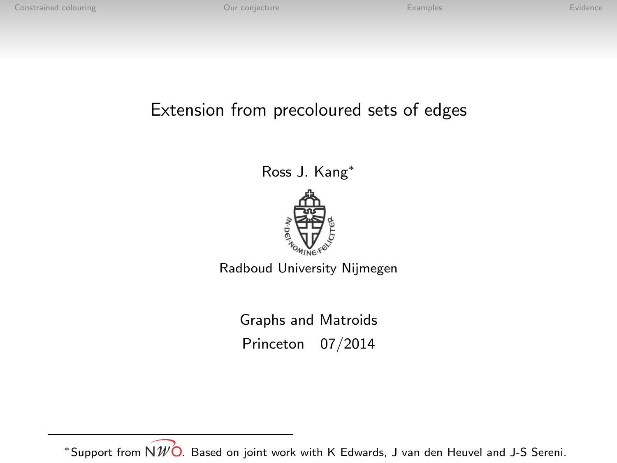## Extension from precoloured sets of edges

Ross J. Kang<sup>∗</sup>



Radboud University Nijmegen

Graphs and Matroids Princeton 07/2014

\*Support from  $N\mathscr{W}$ O. Based on joint work with K Edwards, J van den Heuvel and J-S Sereni.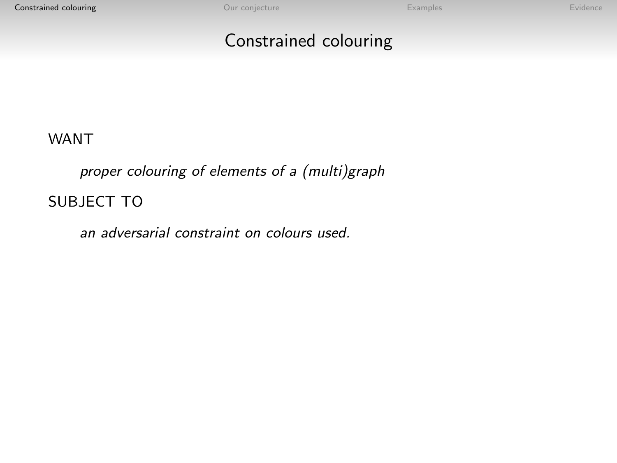## Constrained colouring

<span id="page-1-0"></span>WANT

proper colouring of elements of a (multi)graph SUBJECT TO

an adversarial constraint on colours used.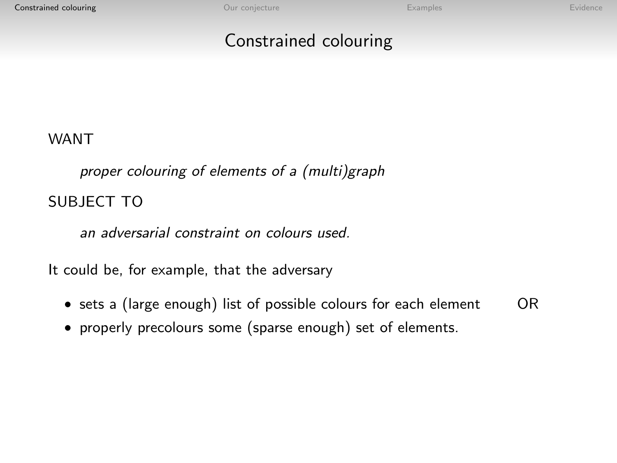## Constrained colouring

#### WANT

proper colouring of elements of a (multi)graph SUBJECT TO

an adversarial constraint on colours used.

It could be, for example, that the adversary

- sets a (large enough) list of possible colours for each element OR
- properly precolours some (sparse enough) set of elements.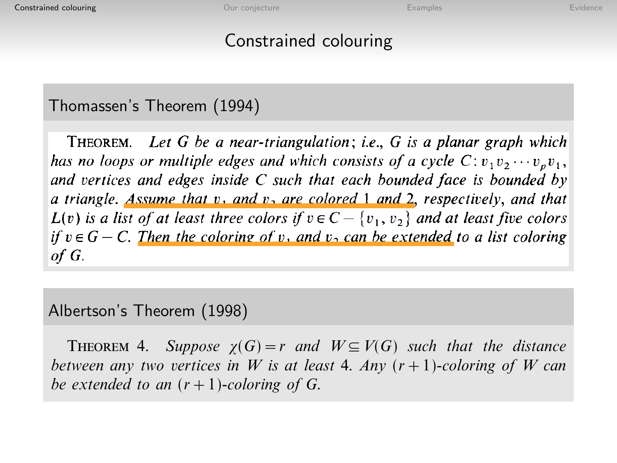# Theorem 3. Suppose G is an observed colouring  $\mathcal{L}$  and WV(G) such that the that the that that the that the that the that the that the that the that the that the that the that the that the that the that the that the tha

#### Thomassen's Theorem (1994) be extended to a 6-coloring of G.  $P$  and  $P$  are hoping of  $P$  theorem  $(1331)$

THEOREM. Let G be a near-triangulation; i.e., G is a planar graph which has no loops or multiple edges and which consists of a cycle  $C: v_1 v_2 \cdots v_n v_1$ , and vertices and edges inside C such that each bounded face is bounded by a triangle. Assume that v, and v, are colored 1 and 2, respectively, and that  $L(v)$  is a list of at least three colors if  $v \in C - \{v_1, v_2\}$  and at least five colors if  $v \in G - C$ . Then the coloring of v, and v, can be extended to a list coloring  $\sigma$ .

# Albertson's Theorem (1998)

THEOREM 4. Suppose  $\gamma(G)=r$  and  $W\subseteq V(G)$  such that the distance between any two vertices in W is at least 4. Any  $(r+1)$ -coloring of W can be extended to an  $(r+1)$ -coloring of G.

preceding proofs only to produce colorings of G. Thus the following are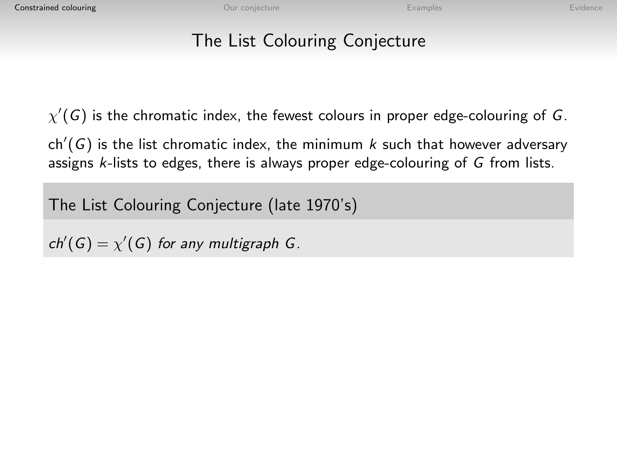## The List Colouring Conjecture

 $\chi'(\mathsf{G})$  is the chromatic index, the fewest colours in proper edge-colouring of  $\mathsf{G}.$ 

 $\mathsf{ch}'(G)$  is the list chromatic index, the minimum  $k$  such that however adversary assigns k-lists to edges, there is always proper edge-colouring of G from lists.

The List Colouring Conjecture (late 1970's)

 $ch'(G) = \chi'(G)$  for any multigraph G.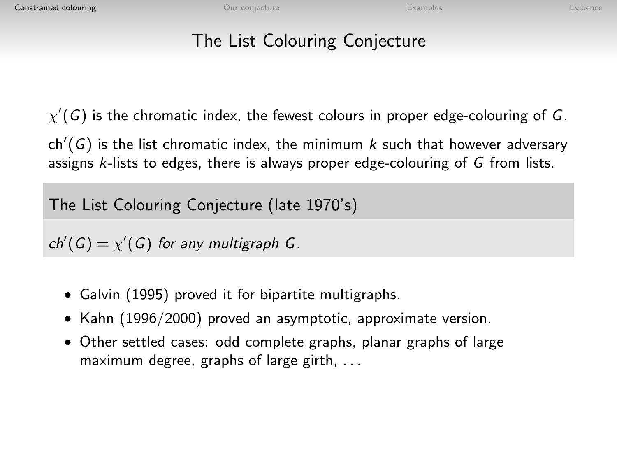## The List Colouring Conjecture

 $\chi'(\mathsf{G})$  is the chromatic index, the fewest colours in proper edge-colouring of  $\mathsf{G}.$ 

 $\mathsf{ch}'(G)$  is the list chromatic index, the minimum  $k$  such that however adversary assigns k-lists to edges, there is always proper edge-colouring of G from lists.

The List Colouring Conjecture (late 1970's)

 $ch'(G) = \chi'(G)$  for any multigraph G.

- Galvin (1995) proved it for bipartite multigraphs.
- Kahn (1996/2000) proved an asymptotic, approximate version.
- Other settled cases: odd complete graphs, planar graphs of large maximum degree, graphs of large girth, . . .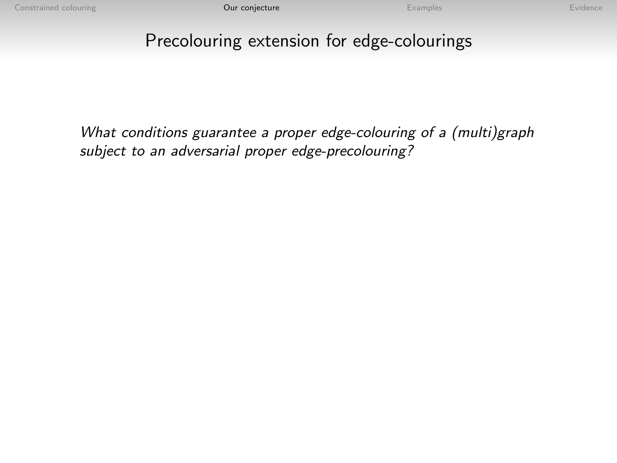## <span id="page-6-0"></span>Precolouring extension for edge-colourings

What conditions guarantee a proper edge-colouring of a (multi)graph subject to an adversarial proper edge-precolouring?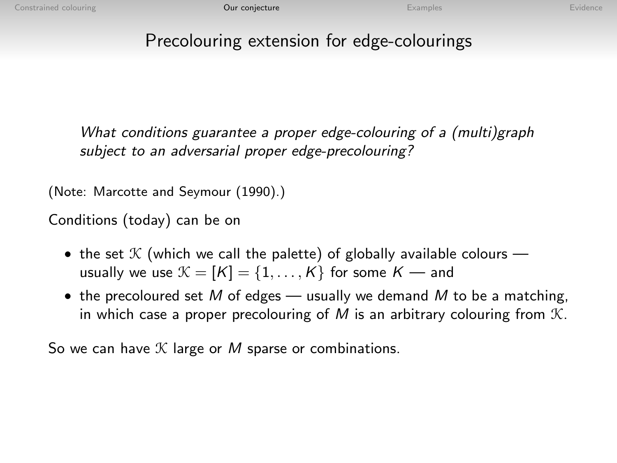## Precolouring extension for edge-colourings

What conditions guarantee a proper edge-colouring of a (multi)graph subject to an adversarial proper edge-precolouring?

(Note: Marcotte and Seymour (1990).)

Conditions (today) can be on

- the set  $K$  (which we call the palette) of globally available colours usually we use  $\mathcal{K} = [K] = \{1, \ldots, K\}$  for some  $K$  — and
- the precoloured set M of edges usually we demand M to be a matching, in which case a proper precolouring of M is an arbitrary colouring from  $K$ .

So we can have  $K$  large or M sparse or combinations.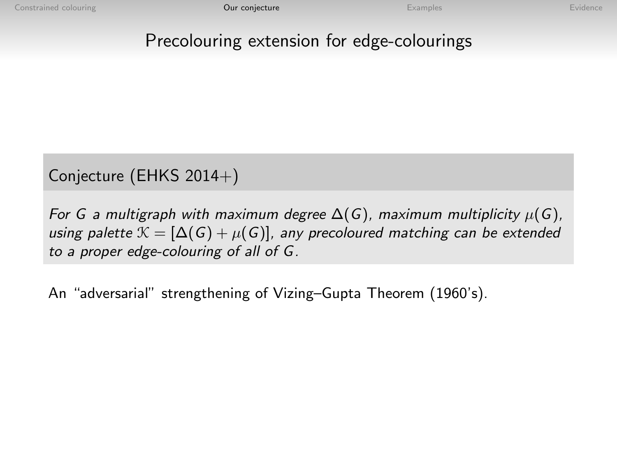## Precolouring extension for edge-colourings

## Conjecture (EHKS 2014+)

For G a multigraph with maximum degree  $\Delta(G)$ , maximum multiplicity  $\mu(G)$ , using palette  $\mathcal{K} = [\Delta(G) + \mu(G)]$ , any precoloured matching can be extended to a proper edge-colouring of all of G.

An "adversarial" strengthening of Vizing–Gupta Theorem (1960's).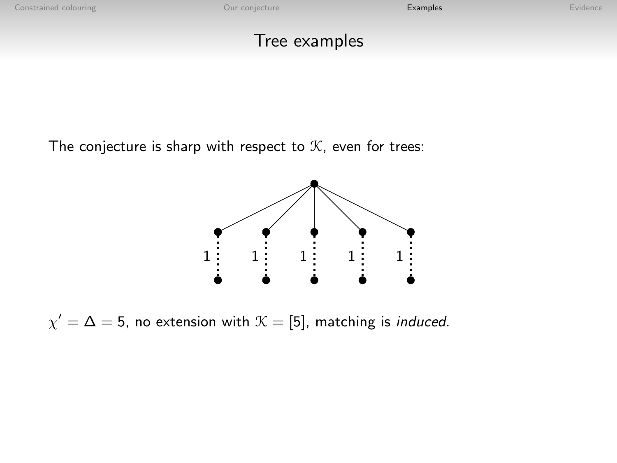## Tree examples

<span id="page-9-0"></span>The conjecture is sharp with respect to  $K$ , even for trees:



 $\chi'=\Delta=5$ , no extension with  $\mathcal{K}=[5]$ , matching is *induced*.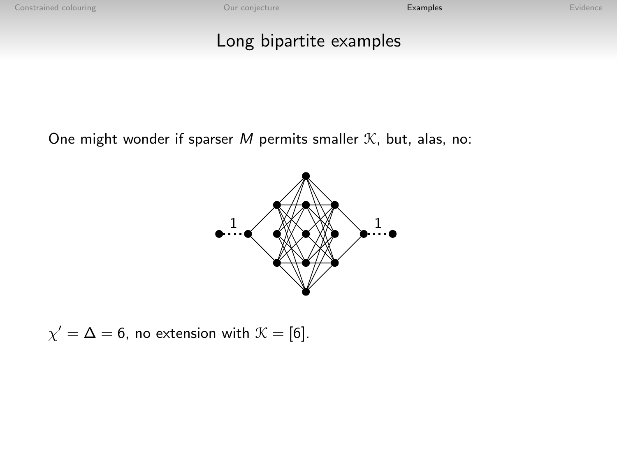## Long bipartite examples

One might wonder if sparser  $M$  permits smaller  $K$ , but, alas, no:



$$
\chi' = \Delta = 6
$$
, no extension with  $\mathcal{K} = [6]$ .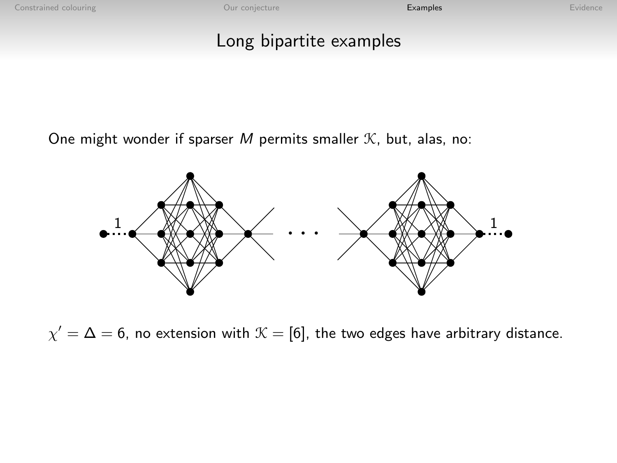## Long bipartite examples

One might wonder if sparser M permits smaller  $K$ , but, alas, no:



 $\chi'=\Delta=6$ , no extension with  $\mathcal{K}=[6]$ , the two edges have arbitrary distance.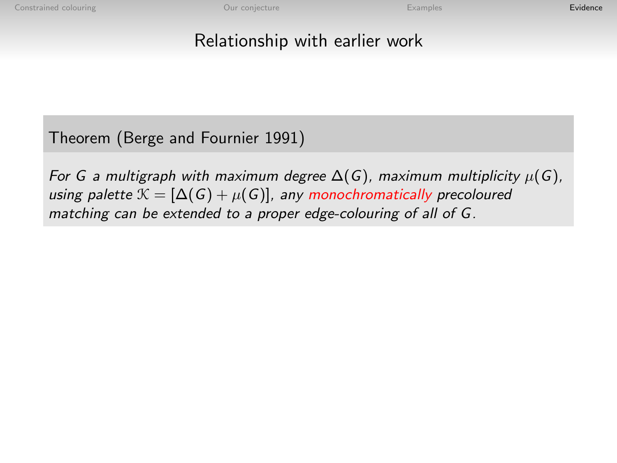## Relationship with earlier work

<span id="page-12-0"></span>Theorem (Berge and Fournier 1991)

For G a multigraph with maximum degree  $\Delta(G)$ , maximum multiplicity  $\mu(G)$ , using palette  $\mathcal{K} = [\Delta(G) + \mu(G)]$ , any monochromatically precoloured matching can be extended to a proper edge-colouring of all of G.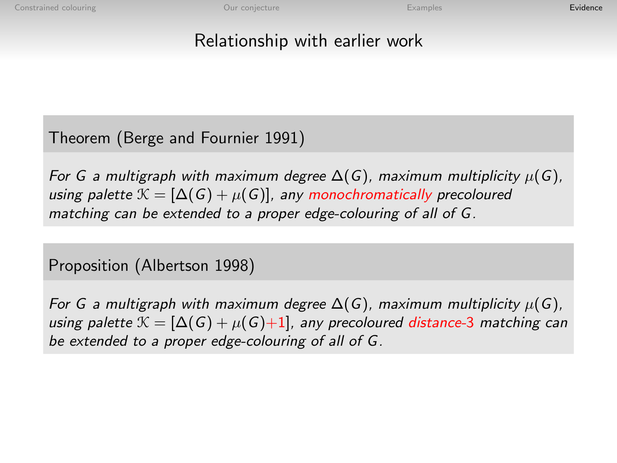## Relationship with earlier work

Theorem (Berge and Fournier 1991)

For G a multigraph with maximum degree  $\Delta(G)$ , maximum multiplicity  $\mu(G)$ , using palette  $\mathcal{K} = [\Delta(G) + \mu(G)]$ , any monochromatically precoloured matching can be extended to a proper edge-colouring of all of G.

Proposition (Albertson 1998)

For G a multigraph with maximum degree  $\Delta(G)$ , maximum multiplicity  $\mu(G)$ , using palette  $\mathcal{K} = [\Delta(G) + \mu(G)+1]$ , any precoloured distance-3 matching can be extended to a proper edge-colouring of all of G.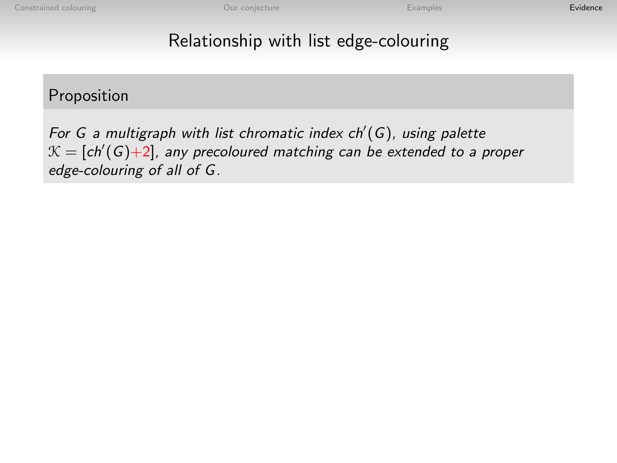## Relationship with list edge-colouring

#### Proposition

For G a multigraph with list chromatic index  $ch'(G)$ , using palette  $\mathcal{K}=[\mathsf{ch}'(\mathsf{G}){+}2]$ , any precoloured matching can be extended to a proper edge-colouring of all of G.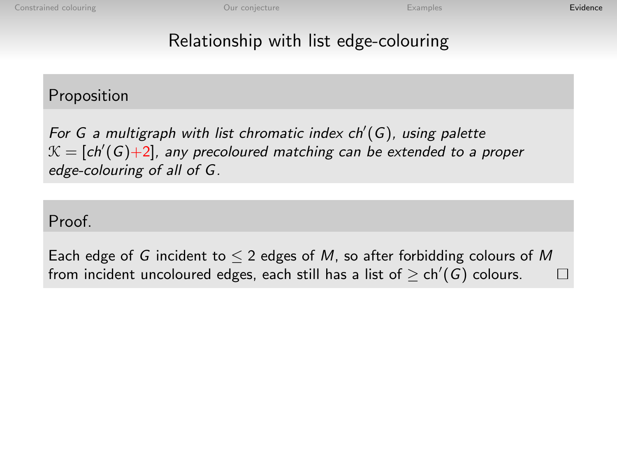## Relationship with list edge-colouring

#### Proposition

For G a multigraph with list chromatic index  $ch'(G)$ , using palette  $\mathcal{K}=[\mathsf{ch}'(\mathsf{G}){+}2]$ , any precoloured matching can be extended to a proper edge-colouring of all of G.

Proof.

Each edge of G incident to  $\leq 2$  edges of M, so after forbidding colours of M from incident uncoloured edges, each still has a list of  $\geq$  ch'(G) colours. П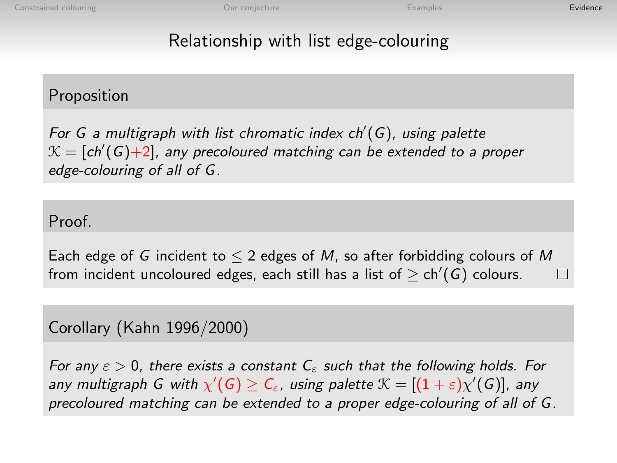## Relationship with list edge-colouring

#### Proposition

For G a multigraph with list chromatic index  $ch'(G)$ , using palette  $\mathcal{K}=[\mathsf{ch}'(\mathsf{G}){+}2]$ , any precoloured matching can be extended to a proper edge-colouring of all of G.

#### Proof.

Each edge of G incident to  $\leq 2$  edges of M, so after forbidding colours of M from incident uncoloured edges, each still has a list of  $\geq$  ch'(G) colours. П

#### Corollary (Kahn 1996/2000)

For any  $\varepsilon > 0$ , there exists a constant  $C_{\varepsilon}$  such that the following holds. For any multigraph G with  $\chi'(G)\geq C_\varepsilon$ , using palette  $\mathfrak{K}=[(1+\varepsilon)\chi'(G)]$ , any precoloured matching can be extended to a proper edge-colouring of all of G.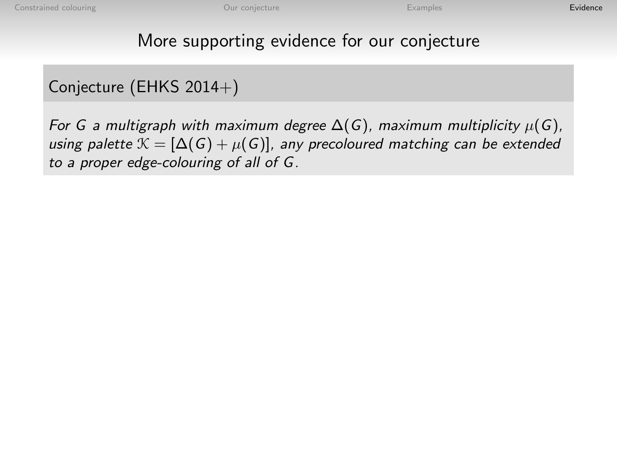## More supporting evidence for our conjecture

## Conjecture (EHKS 2014+)

For G a multigraph with maximum degree  $\Delta(G)$ , maximum multiplicity  $\mu(G)$ , using palette  $\mathcal{K} = [\Delta(G) + \mu(G)]$ , any precoloured matching can be extended to a proper edge-colouring of all of G.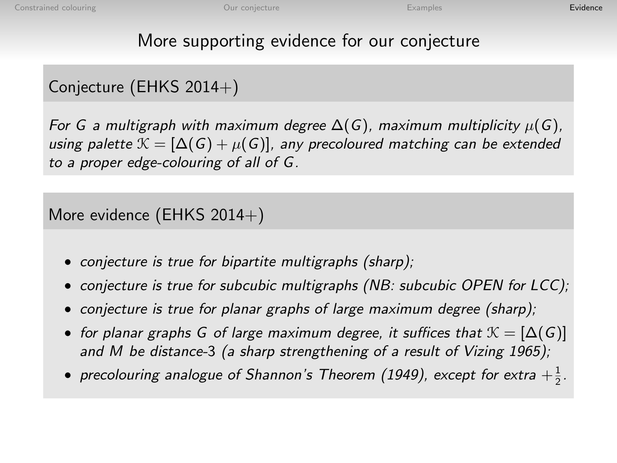## More supporting evidence for our conjecture

## Conjecture (EHKS 2014+)

For G a multigraph with maximum degree  $\Delta(G)$ , maximum multiplicity  $\mu(G)$ , using palette  $\mathcal{K} = [\Delta(G) + \mu(G)]$ , any precoloured matching can be extended to a proper edge-colouring of all of G.

More evidence (EHKS  $2014+$ )

- conjecture is true for bipartite multigraphs (sharp);
- conjecture is true for subcubic multigraphs (NB: subcubic OPEN for LCC);
- conjecture is true for planar graphs of large maximum degree (sharp);
- for planar graphs G of large maximum degree, it suffices that  $\mathcal{K} = [\Delta(G)]$ and M be distance-3 (a sharp strengthening of a result of Vizing 1965);
- precolouring analogue of Shannon's Theorem (1949), except for extra  $+\frac{1}{2}$ .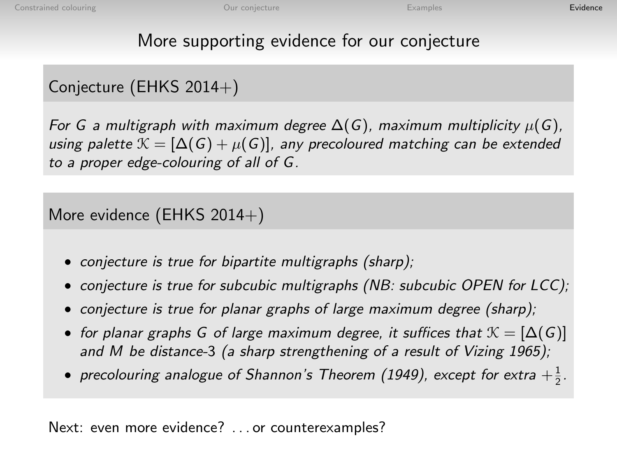## More supporting evidence for our conjecture

## Conjecture (EHKS 2014+)

For G a multigraph with maximum degree  $\Delta(G)$ , maximum multiplicity  $\mu(G)$ , using palette  $\mathcal{K} = [\Delta(G) + \mu(G)]$ , any precoloured matching can be extended to a proper edge-colouring of all of G.

More evidence (EHKS  $2014+$ )

- conjecture is true for bipartite multigraphs (sharp);
- conjecture is true for subcubic multigraphs (NB: subcubic OPEN for LCC);
- conjecture is true for planar graphs of large maximum degree (sharp);
- for planar graphs G of large maximum degree, it suffices that  $\mathcal{K} = [\Delta(G)]$ and M be distance-3 (a sharp strengthening of a result of Vizing 1965);
- precolouring analogue of Shannon's Theorem (1949), except for extra  $+\frac{1}{2}$ .

Next: even more evidence? . . . or counterexamples?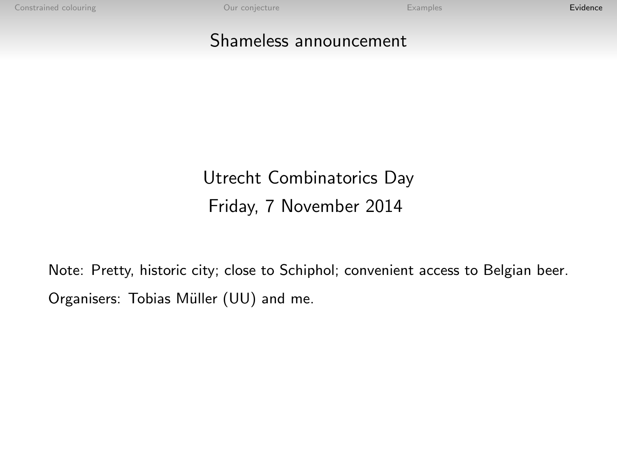[Constrained colouring](#page-1-0) **[Evidence](#page-12-0)**<br>
Constrained colouring **Evidence** 

#### Shameless announcement

## Utrecht Combinatorics Day Friday, 7 November 2014

Note: Pretty, historic city; close to Schiphol; convenient access to Belgian beer. Organisers: Tobias Müller (UU) and me.